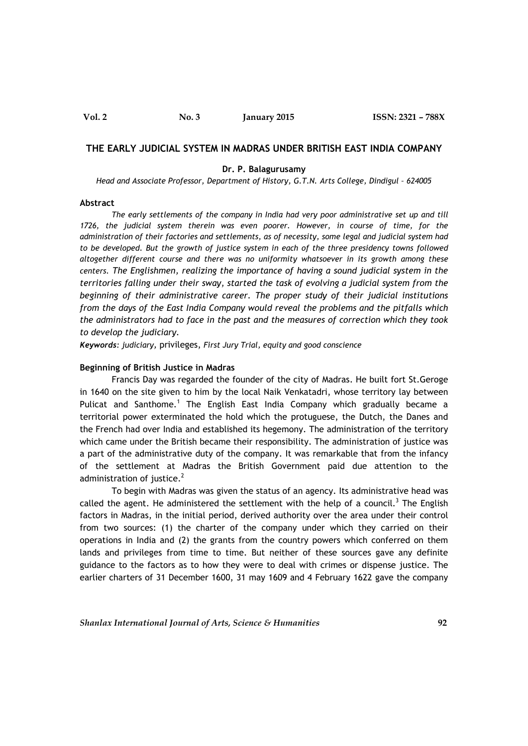## **THE EARLY JUDICIAL SYSTEM IN MADRAS UNDER BRITISH EAST INDIA COMPANY**

### **Dr. P. Balagurusamy**

*Head and Associate Professor, Department of History, G.T.N. Arts College, Dindigul – 624005*

### **Abstract**

*The early settlements of the company in India had very poor administrative set up and till 1726, the judicial system therein was even poorer. However, in course of time, for the administration of their factories and settlements, as of necessity, some legal and judicial system had*  to be developed. But the growth of justice system in each of the three presidency towns followed *altogether different course and there was no uniformity whatsoever in its growth among these centers. The Englishmen, realizing the importance of having a sound judicial system in the territories falling under their sway, started the task of evolving a judicial system from the beginning of their administrative career. The proper study of their judicial institutions from the days of the East India Company would reveal the problems and the pitfalls which the administrators had to face in the past and the measures of correction which they took to develop the judiciary.*

*Keywords: judiciary,* privileges, *First Jury Trial, equity and good conscience*

## **Beginning of British Justice in Madras**

Francis Day was regarded the founder of the city of Madras. He built fort St.Geroge in 1640 on the site given to him by the local Naik Venkatadri, whose territory lay between Pulicat and Santhome.<sup>1</sup> The English East India Company which gradually became a territorial power exterminated the hold which the protuguese, the Dutch, the Danes and the French had over India and established its hegemony. The administration of the territory which came under the British became their responsibility. The administration of justice was a part of the administrative duty of the company. It was remarkable that from the infancy of the settlement at Madras the British Government paid due attention to the administration of justice. $2$ 

To begin with Madras was given the status of an agency. Its administrative head was called the agent. He administered the settlement with the help of a council.<sup>3</sup> The English factors in Madras, in the initial period, derived authority over the area under their control from two sources: (1) the charter of the company under which they carried on their operations in India and (2) the grants from the country powers which conferred on them lands and privileges from time to time. But neither of these sources gave any definite guidance to the factors as to how they were to deal with crimes or dispense justice. The earlier charters of 31 December 1600, 31 may 1609 and 4 February 1622 gave the company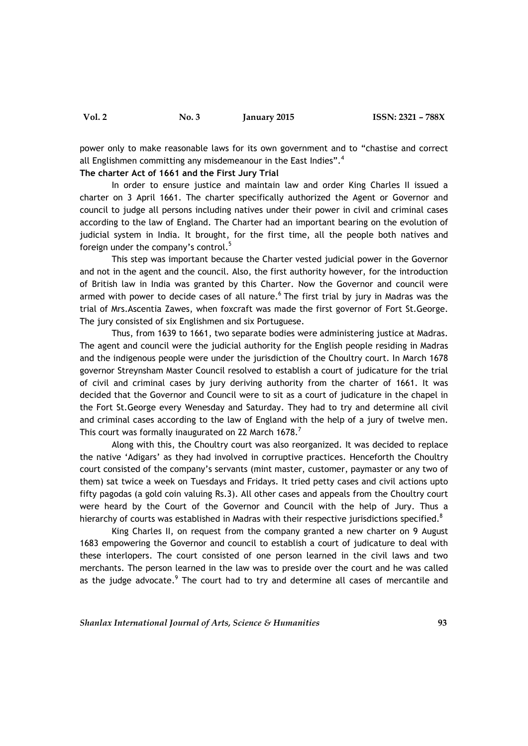**Vol. 2 No. 3 January 2015 ISSN: 2321 – 788X**

power only to make reasonable laws for its own government and to "chastise and correct all Englishmen committing any misdemeanour in the East Indies".<sup>4</sup>

## **The charter Act of 1661 and the First Jury Trial**

In order to ensure justice and maintain law and order King Charles II issued a charter on 3 April 1661. The charter specifically authorized the Agent or Governor and council to judge all persons including natives under their power in civil and criminal cases according to the law of England. The Charter had an important bearing on the evolution of judicial system in India. It brought, for the first time, all the people both natives and foreign under the company's control.<sup>5</sup>

This step was important because the Charter vested judicial power in the Governor and not in the agent and the council. Also, the first authority however, for the introduction of British law in India was granted by this Charter. Now the Governor and council were armed with power to decide cases of all nature.<sup>6</sup> The first trial by jury in Madras was the trial of Mrs.Ascentia Zawes, when foxcraft was made the first governor of Fort St.George. The jury consisted of six Englishmen and six Portuguese.

Thus, from 1639 to 1661, two separate bodies were administering justice at Madras. The agent and council were the judicial authority for the English people residing in Madras and the indigenous people were under the jurisdiction of the Choultry court. In March 1678 governor Streynsham Master Council resolved to establish a court of judicature for the trial of civil and criminal cases by jury deriving authority from the charter of 1661. It was decided that the Governor and Council were to sit as a court of judicature in the chapel in the Fort St.George every Wenesday and Saturday. They had to try and determine all civil and criminal cases according to the law of England with the help of a jury of twelve men. This court was formally inaugurated on 22 March 1678.<sup>7</sup>

Along with this, the Choultry court was also reorganized. It was decided to replace the native 'Adigars' as they had involved in corruptive practices. Henceforth the Choultry court consisted of the company's servants (mint master, customer, paymaster or any two of them) sat twice a week on Tuesdays and Fridays. It tried petty cases and civil actions upto fifty pagodas (a gold coin valuing Rs.3). All other cases and appeals from the Choultry court were heard by the Court of the Governor and Council with the help of Jury. Thus a hierarchy of courts was established in Madras with their respective jurisdictions specified.<sup>8</sup>

King Charles II, on request from the company granted a new charter on 9 August 1683 empowering the Governor and council to establish a court of judicature to deal with these interlopers. The court consisted of one person learned in the civil laws and two merchants. The person learned in the law was to preside over the court and he was called as the judge advocate.<sup>9</sup> The court had to try and determine all cases of mercantile and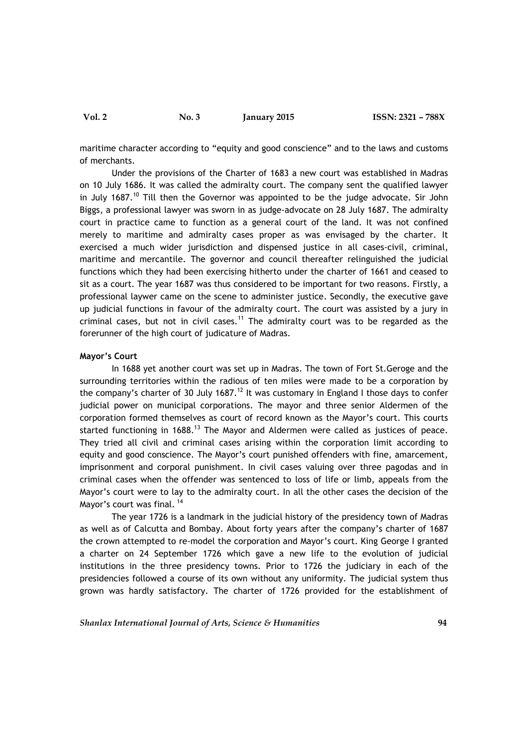**Vol. 2 No. 3 January 2015 ISSN: 2321 – 788X**

maritime character according to "equity and good conscience" and to the laws and customs of merchants.

Under the provisions of the Charter of 1683 a new court was established in Madras on 10 July 1686. It was called the admiralty court. The company sent the qualified lawyer in July 1687.<sup>10</sup> Till then the Governor was appointed to be the judge advocate. Sir John Biggs, a professional lawyer was sworn in as judge-advocate on 28 July 1687. The admiralty court in practice came to function as a general court of the land. It was not confined merely to maritime and admiralty cases proper as was envisaged by the charter. It exercised a much wider jurisdiction and dispensed justice in all cases-civil, criminal, maritime and mercantile. The governor and council thereafter relinguished the judicial functions which they had been exercising hitherto under the charter of 1661 and ceased to sit as a court. The year 1687 was thus considered to be important for two reasons. Firstly, a professional laywer came on the scene to administer justice. Secondly, the executive gave up judicial functions in favour of the admiralty court. The court was assisted by a jury in criminal cases, but not in civil cases.<sup>11</sup> The admiralty court was to be regarded as the forerunner of the high court of judicature of Madras.

## **Mayor's Court**

In 1688 yet another court was set up in Madras. The town of Fort St.Geroge and the surrounding territories within the radious of ten miles were made to be a corporation by the company's charter of 30 July 1687.<sup>12</sup> It was customary in England I those days to confer judicial power on municipal corporations. The mayor and three senior Aldermen of the corporation formed themselves as court of record known as the Mayor's court. This courts started functioning in  $1688$ .<sup>13</sup> The Mayor and Aldermen were called as justices of peace. They tried all civil and criminal cases arising within the corporation limit according to equity and good conscience. The Mayor's court punished offenders with fine, amarcement, imprisonment and corporal punishment. In civil cases valuing over three pagodas and in criminal cases when the offender was sentenced to loss of life or limb, appeals from the Mayor's court were to lay to the admiralty court. In all the other cases the decision of the Mayor's court was final.<sup>14</sup>

The year 1726 is a landmark in the judicial history of the presidency town of Madras as well as of Calcutta and Bombay. About forty years after the company's charter of 1687 the crown attempted to re-model the corporation and Mayor's court. King George I granted a charter on 24 September 1726 which gave a new life to the evolution of judicial institutions in the three presidency towns. Prior to 1726 the judiciary in each of the presidencies followed a course of its own without any uniformity. The judicial system thus grown was hardly satisfactory. The charter of 1726 provided for the establishment of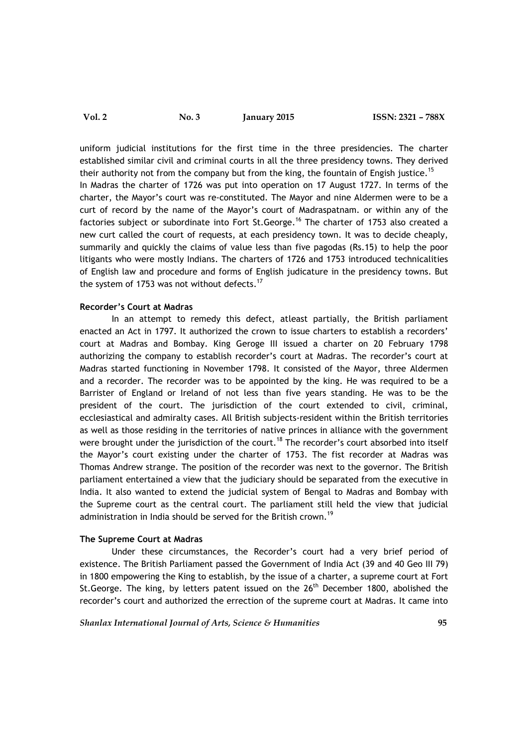uniform judicial institutions for the first time in the three presidencies. The charter established similar civil and criminal courts in all the three presidency towns. They derived their authority not from the company but from the king, the fountain of Engish justice.<sup>15</sup> In Madras the charter of 1726 was put into operation on 17 August 1727. In terms of the charter, the Mayor's court was re-constituted. The Mayor and nine Aldermen were to be a curt of record by the name of the Mayor's court of Madraspatnam. or within any of the factories subject or subordinate into Fort St.George.<sup>16</sup> The charter of 1753 also created a new curt called the court of requests, at each presidency town. It was to decide cheaply, summarily and quickly the claims of value less than five pagodas (Rs.15) to help the poor litigants who were mostly Indians. The charters of 1726 and 1753 introduced technicalities of English law and procedure and forms of English judicature in the presidency towns. But the system of 1753 was not without defects.<sup>17</sup>

## **Recorder's Court at Madras**

In an attempt to remedy this defect, atleast partially, the British parliament enacted an Act in 1797. It authorized the crown to issue charters to establish a recorders' court at Madras and Bombay. King Geroge III issued a charter on 20 February 1798 authorizing the company to establish recorder's court at Madras. The recorder's court at Madras started functioning in November 1798. It consisted of the Mayor, three Aldermen and a recorder. The recorder was to be appointed by the king. He was required to be a Barrister of England or Ireland of not less than five years standing. He was to be the president of the court. The jurisdiction of the court extended to civil, criminal, ecclesiastical and admiralty cases. All British subjects-resident within the British territories as well as those residing in the territories of native princes in alliance with the government were brought under the jurisdiction of the court.<sup>18</sup> The recorder's court absorbed into itself the Mayor's court existing under the charter of 1753. The fist recorder at Madras was Thomas Andrew strange. The position of the recorder was next to the governor. The British parliament entertained a view that the judiciary should be separated from the executive in India. It also wanted to extend the judicial system of Bengal to Madras and Bombay with the Supreme court as the central court. The parliament still held the view that judicial administration in India should be served for the British crown.<sup>19</sup>

# **The Supreme Court at Madras**

Under these circumstances, the Recorder's court had a very brief period of existence. The British Parliament passed the Government of India Act (39 and 40 Geo III 79) in 1800 empowering the King to establish, by the issue of a charter, a supreme court at Fort St. George. The king, by letters patent issued on the  $26<sup>th</sup>$  December 1800, abolished the recorder's court and authorized the errection of the supreme court at Madras. It came into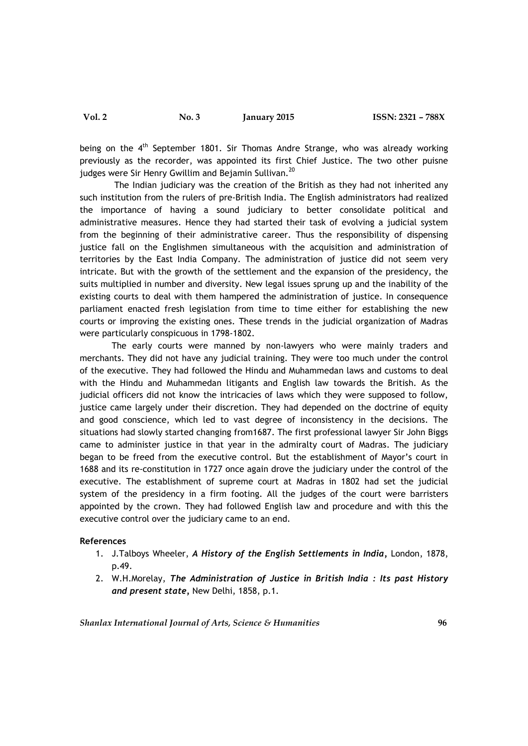being on the 4<sup>th</sup> September 1801. Sir Thomas Andre Strange, who was already working previously as the recorder, was appointed its first Chief Justice. The two other puisne judges were Sir Henry Gwillim and Bejamin Sullivan.<sup>20</sup>

The Indian judiciary was the creation of the British as they had not inherited any such institution from the rulers of pre-British India. The English administrators had realized the importance of having a sound judiciary to better consolidate political and administrative measures. Hence they had started their task of evolving a judicial system from the beginning of their administrative career. Thus the responsibility of dispensing justice fall on the Englishmen simultaneous with the acquisition and administration of territories by the East India Company. The administration of justice did not seem very intricate. But with the growth of the settlement and the expansion of the presidency, the suits multiplied in number and diversity. New legal issues sprung up and the inability of the existing courts to deal with them hampered the administration of justice. In consequence parliament enacted fresh legislation from time to time either for establishing the new courts or improving the existing ones. These trends in the judicial organization of Madras were particularly conspicuous in 1798-1802.

The early courts were manned by non-lawyers who were mainly traders and merchants. They did not have any judicial training. They were too much under the control of the executive. They had followed the Hindu and Muhammedan laws and customs to deal with the Hindu and Muhammedan litigants and English law towards the British. As the judicial officers did not know the intricacies of laws which they were supposed to follow, justice came largely under their discretion. They had depended on the doctrine of equity and good conscience, which led to vast degree of inconsistency in the decisions. The situations had slowly started changing from1687. The first professional lawyer Sir John Biggs came to administer justice in that year in the admiralty court of Madras. The judiciary began to be freed from the executive control. But the establishment of Mayor's court in 1688 and its re-constitution in 1727 once again drove the judiciary under the control of the executive. The establishment of supreme court at Madras in 1802 had set the judicial system of the presidency in a firm footing. All the judges of the court were barristers appointed by the crown. They had followed English law and procedure and with this the executive control over the judiciary came to an end.

# **References**

- 1. J.Talboys Wheeler, *A History of the English Settlements in India,* London, 1878, p.49.
- 2. W.H.Morelay, *The Administration of Justice in British India : Its past History and present state,* New Delhi, 1858, p.1.